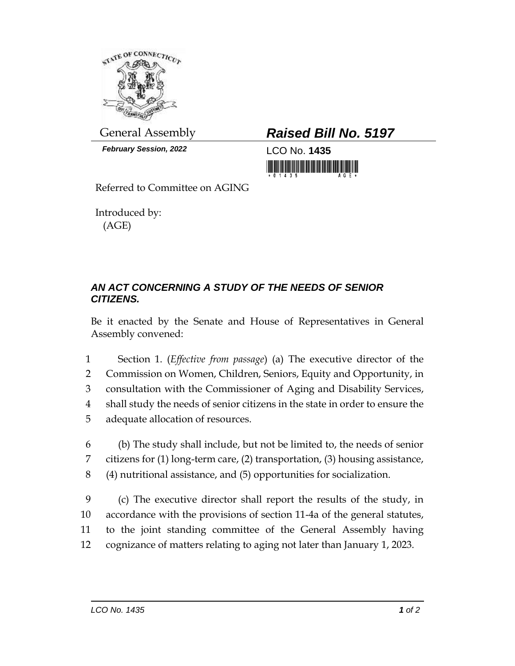

*February Session, 2022* LCO No. **1435**

General Assembly *Raised Bill No. 5197*

<u>ni mini mini masa masa </u>

Referred to Committee on AGING

Introduced by: (AGE)

## *AN ACT CONCERNING A STUDY OF THE NEEDS OF SENIOR CITIZENS.*

Be it enacted by the Senate and House of Representatives in General Assembly convened:

 Section 1. (*Effective from passage*) (a) The executive director of the Commission on Women, Children, Seniors, Equity and Opportunity, in consultation with the Commissioner of Aging and Disability Services, shall study the needs of senior citizens in the state in order to ensure the adequate allocation of resources.

6 (b) The study shall include, but not be limited to, the needs of senior 7 citizens for (1) long-term care, (2) transportation, (3) housing assistance, 8 (4) nutritional assistance, and (5) opportunities for socialization.

 (c) The executive director shall report the results of the study, in accordance with the provisions of section 11-4a of the general statutes, to the joint standing committee of the General Assembly having cognizance of matters relating to aging not later than January 1, 2023.